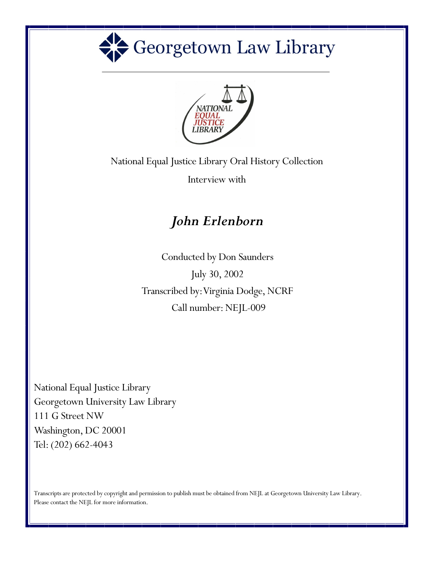



National Equal Justice Library Oral History Collection

Interview with

## *John Erlenborn*

Conducted by Don Saunders Transcribed by: Virginia Dodge, NCRF July 30, 2002 Call number: NEJL-009

National Equal Justice Library Georgetown University Law Library 111 G Street NW Washington, DC 20001 Tel: (202) 662-4043

Transcripts are protected by copyright and permission to publish must be obtained from NEJL at Georgetown University Law Library. Please contact the NEJL for more information.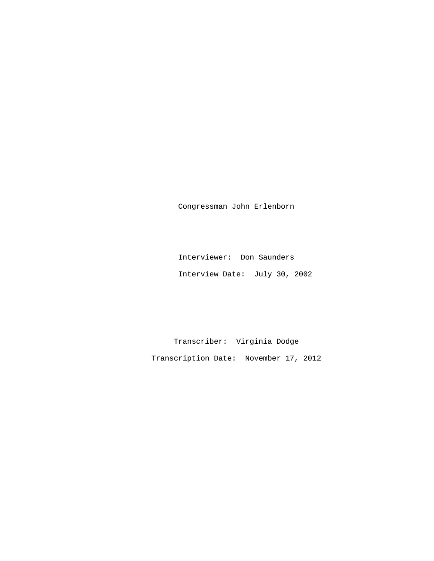Congressman John Erlenborn

 Interviewer: Don Saunders Interview Date: July 30, 2002

 Transcriber: Virginia Dodge Transcription Date: November 17, 2012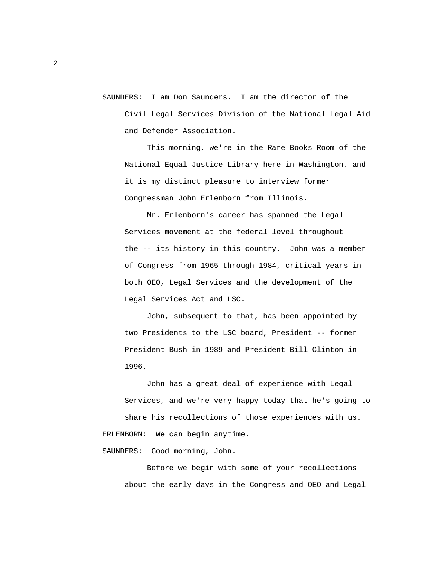SAUNDERS: I am Don Saunders. I am the director of the Civil Legal Services Division of the National Legal Aid and Defender Association.

 This morning, we're in the Rare Books Room of the National Equal Justice Library here in Washington, and it is my distinct pleasure to interview former Congressman John Erlenborn from Illinois.

 Mr. Erlenborn's career has spanned the Legal Services movement at the federal level throughout the -- its history in this country. John was a member of Congress from 1965 through 1984, critical years in both OEO, Legal Services and the development of the Legal Services Act and LSC.

 John, subsequent to that, has been appointed by two Presidents to the LSC board, President -- former President Bush in 1989 and President Bill Clinton in 1996.

 John has a great deal of experience with Legal Services, and we're very happy today that he's going to share his recollections of those experiences with us. ERLENBORN: We can begin anytime.

SAUNDERS: Good morning, John.

 Before we begin with some of your recollections about the early days in the Congress and OEO and Legal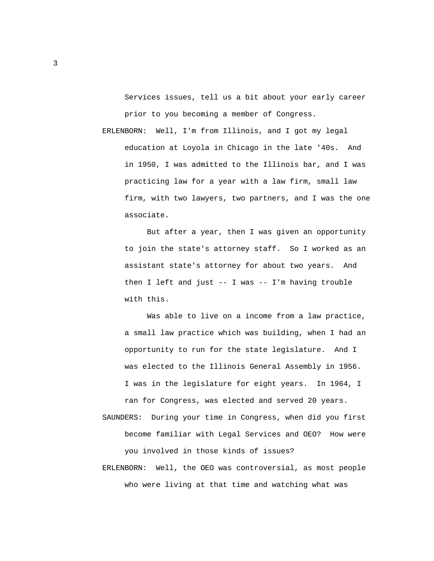Services issues, tell us a bit about your early career prior to you becoming a member of Congress.

 ERLENBORN: Well, I'm from Illinois, and I got my legal education at Loyola in Chicago in the late '40s. And in 1950, I was admitted to the Illinois bar, and I was practicing law for a year with a law firm, small law firm, with two lawyers, two partners, and I was the one associate.

 But after a year, then I was given an opportunity to join the state's attorney staff. So I worked as an assistant state's attorney for about two years. And then I left and just -- I was -- I'm having trouble with this.

 Was able to live on a income from a law practice, a small law practice which was building, when I had an opportunity to run for the state legislature. And I was elected to the Illinois General Assembly in 1956. I was in the legislature for eight years. In 1964, I ran for Congress, was elected and served 20 years.

 SAUNDERS: During your time in Congress, when did you first become familiar with Legal Services and OEO? How were you involved in those kinds of issues?

 ERLENBORN: Well, the OEO was controversial, as most people who were living at that time and watching what was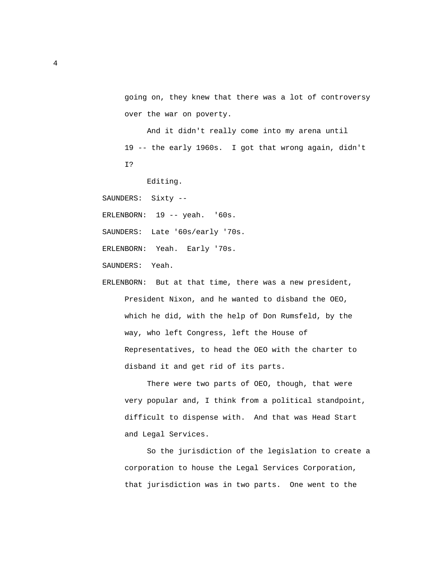going on, they knew that there was a lot of controversy over the war on poverty.

 And it didn't really come into my arena until 19 -- the early 1960s. I got that wrong again, didn't I?

Editing.

SAUNDERS: Sixty --

ERLENBORN: 19 -- yeah. '60s.

SAUNDERS: Late '60s/early '70s.

ERLENBORN: Yeah. Early '70s.

SAUNDERS: Yeah.

 ERLENBORN: But at that time, there was a new president, President Nixon, and he wanted to disband the OEO, which he did, with the help of Don Rumsfeld, by the way, who left Congress, left the House of Representatives, to head the OEO with the charter to disband it and get rid of its parts.

 There were two parts of OEO, though, that were very popular and, I think from a political standpoint, difficult to dispense with. And that was Head Start and Legal Services.

 So the jurisdiction of the legislation to create a corporation to house the Legal Services Corporation, that jurisdiction was in two parts. One went to the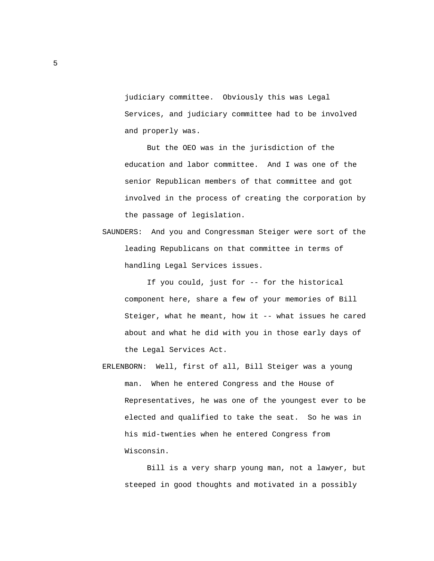judiciary committee. Obviously this was Legal Services, and judiciary committee had to be involved and properly was.

 But the OEO was in the jurisdiction of the education and labor committee. And I was one of the senior Republican members of that committee and got involved in the process of creating the corporation by the passage of legislation.

 SAUNDERS: And you and Congressman Steiger were sort of the leading Republicans on that committee in terms of handling Legal Services issues.

 If you could, just for -- for the historical component here, share a few of your memories of Bill Steiger, what he meant, how it -- what issues he cared about and what he did with you in those early days of the Legal Services Act.

 ERLENBORN: Well, first of all, Bill Steiger was a young man. When he entered Congress and the House of Representatives, he was one of the youngest ever to be elected and qualified to take the seat. So he was in his mid-twenties when he entered Congress from Wisconsin.

 Bill is a very sharp young man, not a lawyer, but steeped in good thoughts and motivated in a possibly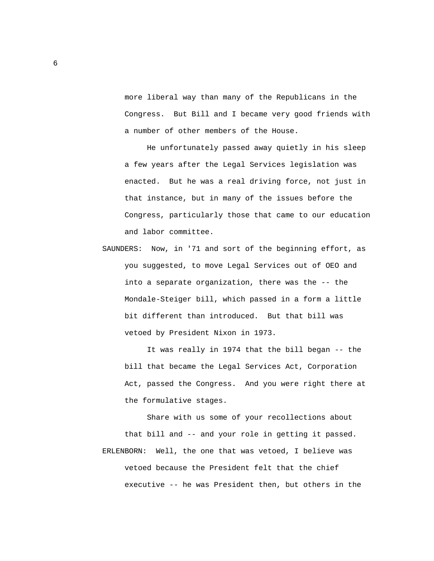more liberal way than many of the Republicans in the Congress. But Bill and I became very good friends with a number of other members of the House.

 He unfortunately passed away quietly in his sleep a few years after the Legal Services legislation was enacted. But he was a real driving force, not just in that instance, but in many of the issues before the Congress, particularly those that came to our education and labor committee.

 SAUNDERS: Now, in '71 and sort of the beginning effort, as you suggested, to move Legal Services out of OEO and into a separate organization, there was the -- the Mondale-Steiger bill, which passed in a form a little bit different than introduced. But that bill was vetoed by President Nixon in 1973.

 It was really in 1974 that the bill began -- the bill that became the Legal Services Act, Corporation Act, passed the Congress. And you were right there at the formulative stages.

 Share with us some of your recollections about that bill and -- and your role in getting it passed. ERLENBORN: Well, the one that was vetoed, I believe was vetoed because the President felt that the chief executive -- he was President then, but others in the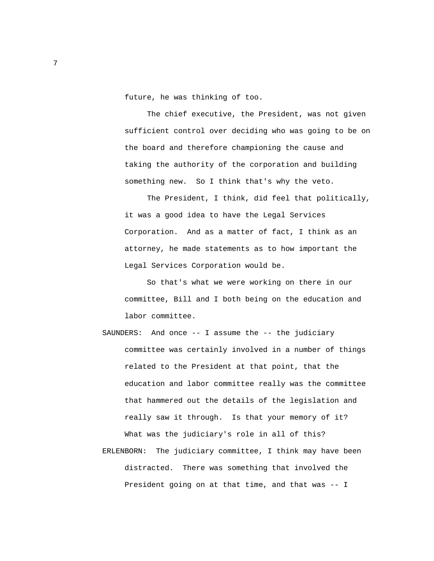future, he was thinking of too.

 The chief executive, the President, was not given sufficient control over deciding who was going to be on the board and therefore championing the cause and taking the authority of the corporation and building something new. So I think that's why the veto.

 The President, I think, did feel that politically, it was a good idea to have the Legal Services Corporation. And as a matter of fact, I think as an attorney, he made statements as to how important the Legal Services Corporation would be.

 So that's what we were working on there in our committee, Bill and I both being on the education and labor committee.

 SAUNDERS: And once -- I assume the -- the judiciary committee was certainly involved in a number of things related to the President at that point, that the education and labor committee really was the committee that hammered out the details of the legislation and really saw it through. Is that your memory of it? What was the judiciary's role in all of this? ERLENBORN: The judiciary committee, I think may have been distracted. There was something that involved the President going on at that time, and that was -- I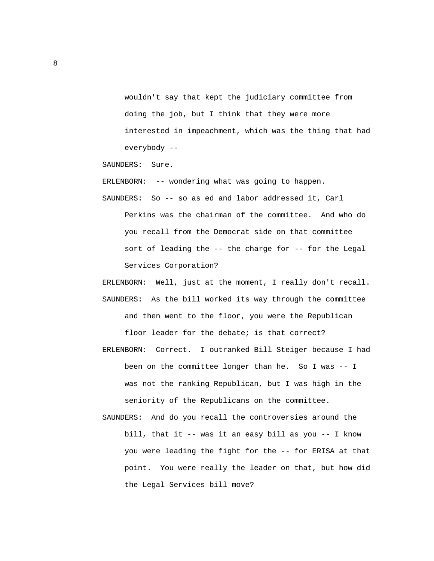wouldn't say that kept the judiciary committee from doing the job, but I think that they were more interested in impeachment, which was the thing that had everybody --

SAUNDERS: Sure.

ERLENBORN: -- wondering what was going to happen.

- SAUNDERS: So -- so as ed and labor addressed it, Carl Perkins was the chairman of the committee. And who do you recall from the Democrat side on that committee sort of leading the -- the charge for -- for the Legal Services Corporation?
- ERLENBORN: Well, just at the moment, I really don't recall. SAUNDERS: As the bill worked its way through the committee and then went to the floor, you were the Republican floor leader for the debate; is that correct?
- ERLENBORN: Correct. I outranked Bill Steiger because I had been on the committee longer than he. So I was -- I was not the ranking Republican, but I was high in the seniority of the Republicans on the committee.
- SAUNDERS: And do you recall the controversies around the bill, that it -- was it an easy bill as you -- I know you were leading the fight for the -- for ERISA at that point. You were really the leader on that, but how did the Legal Services bill move?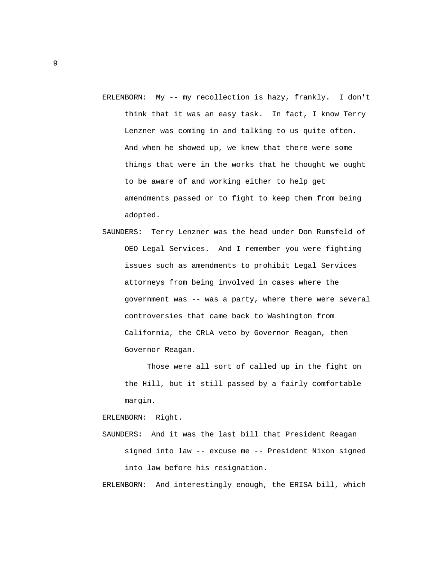- ERLENBORN: My -- my recollection is hazy, frankly. I don't think that it was an easy task. In fact, I know Terry Lenzner was coming in and talking to us quite often. And when he showed up, we knew that there were some things that were in the works that he thought we ought to be aware of and working either to help get amendments passed or to fight to keep them from being adopted.
- SAUNDERS: Terry Lenzner was the head under Don Rumsfeld of OEO Legal Services. And I remember you were fighting issues such as amendments to prohibit Legal Services attorneys from being involved in cases where the government was -- was a party, where there were several controversies that came back to Washington from California, the CRLA veto by Governor Reagan, then Governor Reagan.

 Those were all sort of called up in the fight on the Hill, but it still passed by a fairly comfortable margin.

ERLENBORN: Right.

 SAUNDERS: And it was the last bill that President Reagan signed into law -- excuse me -- President Nixon signed into law before his resignation.

ERLENBORN: And interestingly enough, the ERISA bill, which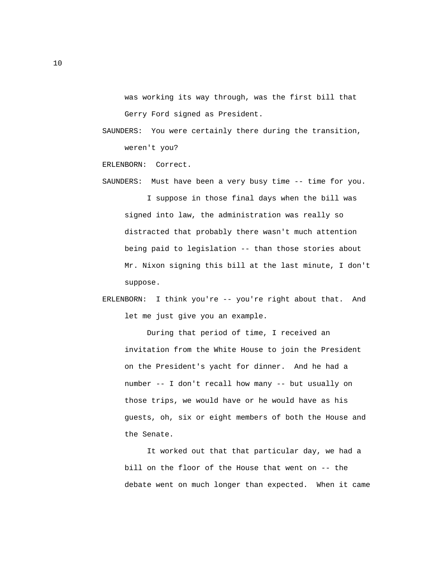was working its way through, was the first bill that Gerry Ford signed as President.

 SAUNDERS: You were certainly there during the transition, weren't you?

ERLENBORN: Correct.

- SAUNDERS: Must have been a very busy time -- time for you. I suppose in those final days when the bill was signed into law, the administration was really so distracted that probably there wasn't much attention being paid to legislation -- than those stories about Mr. Nixon signing this bill at the last minute, I don't suppose.
- ERLENBORN: I think you're -- you're right about that. And let me just give you an example.

 During that period of time, I received an invitation from the White House to join the President on the President's yacht for dinner. And he had a number -- I don't recall how many -- but usually on those trips, we would have or he would have as his guests, oh, six or eight members of both the House and the Senate.

 It worked out that that particular day, we had a bill on the floor of the House that went on -- the debate went on much longer than expected. When it came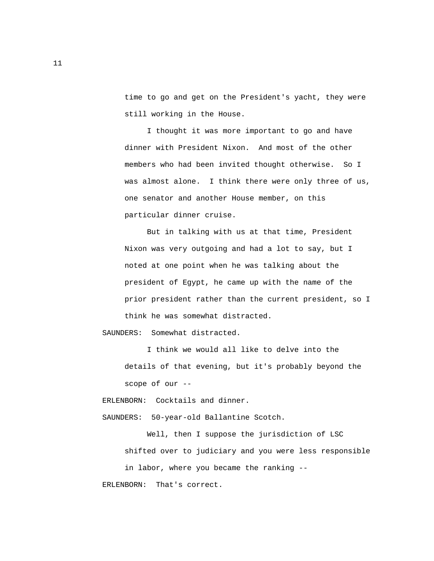time to go and get on the President's yacht, they were still working in the House.

 I thought it was more important to go and have dinner with President Nixon. And most of the other members who had been invited thought otherwise. So I was almost alone. I think there were only three of us, one senator and another House member, on this particular dinner cruise.

 But in talking with us at that time, President Nixon was very outgoing and had a lot to say, but I noted at one point when he was talking about the president of Egypt, he came up with the name of the prior president rather than the current president, so I think he was somewhat distracted.

SAUNDERS: Somewhat distracted.

 I think we would all like to delve into the details of that evening, but it's probably beyond the scope of our --

ERLENBORN: Cocktails and dinner.

SAUNDERS: 50-year-old Ballantine Scotch.

 Well, then I suppose the jurisdiction of LSC shifted over to judiciary and you were less responsible

 in labor, where you became the ranking -- ERLENBORN: That's correct.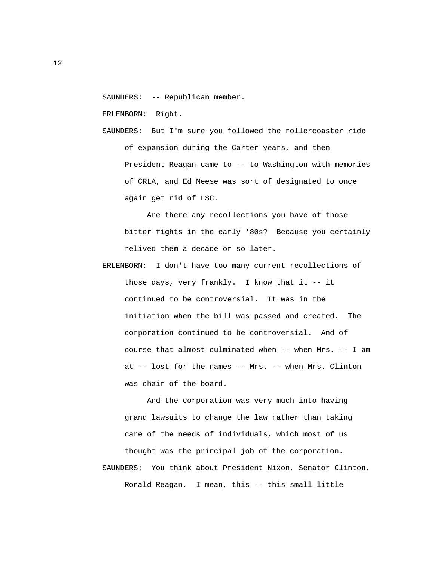SAUNDERS: -- Republican member.

ERLENBORN: Right.

 SAUNDERS: But I'm sure you followed the rollercoaster ride of expansion during the Carter years, and then President Reagan came to -- to Washington with memories of CRLA, and Ed Meese was sort of designated to once again get rid of LSC.

 Are there any recollections you have of those bitter fights in the early '80s? Because you certainly relived them a decade or so later.

 ERLENBORN: I don't have too many current recollections of those days, very frankly. I know that it -- it continued to be controversial. It was in the initiation when the bill was passed and created. The corporation continued to be controversial. And of course that almost culminated when -- when Mrs. -- I am at -- lost for the names -- Mrs. -- when Mrs. Clinton was chair of the board.

 And the corporation was very much into having grand lawsuits to change the law rather than taking care of the needs of individuals, which most of us thought was the principal job of the corporation. SAUNDERS: You think about President Nixon, Senator Clinton, Ronald Reagan. I mean, this -- this small little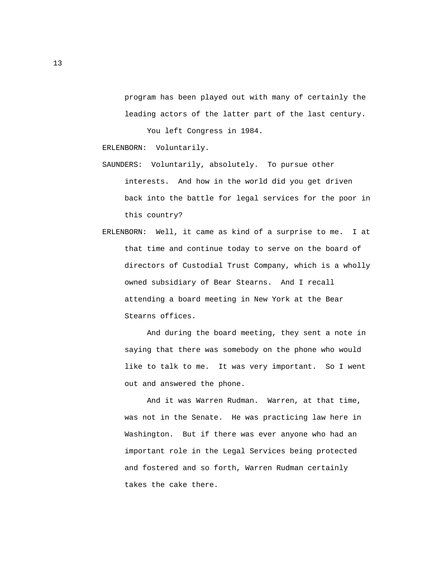program has been played out with many of certainly the leading actors of the latter part of the last century.

You left Congress in 1984.

ERLENBORN: Voluntarily.

- SAUNDERS: Voluntarily, absolutely. To pursue other interests. And how in the world did you get driven back into the battle for legal services for the poor in this country?
- ERLENBORN: Well, it came as kind of a surprise to me. I at that time and continue today to serve on the board of directors of Custodial Trust Company, which is a wholly owned subsidiary of Bear Stearns. And I recall attending a board meeting in New York at the Bear Stearns offices.

 And during the board meeting, they sent a note in saying that there was somebody on the phone who would like to talk to me. It was very important. So I went out and answered the phone.

 And it was Warren Rudman. Warren, at that time, was not in the Senate. He was practicing law here in Washington. But if there was ever anyone who had an important role in the Legal Services being protected and fostered and so forth, Warren Rudman certainly takes the cake there.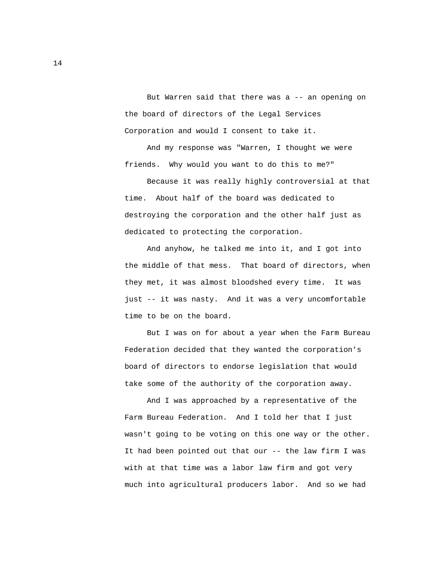But Warren said that there was a -- an opening on the board of directors of the Legal Services Corporation and would I consent to take it.

 And my response was "Warren, I thought we were friends. Why would you want to do this to me?"

 Because it was really highly controversial at that time. About half of the board was dedicated to destroying the corporation and the other half just as dedicated to protecting the corporation.

 And anyhow, he talked me into it, and I got into the middle of that mess. That board of directors, when they met, it was almost bloodshed every time. It was just -- it was nasty. And it was a very uncomfortable time to be on the board.

 But I was on for about a year when the Farm Bureau Federation decided that they wanted the corporation's board of directors to endorse legislation that would take some of the authority of the corporation away.

 And I was approached by a representative of the Farm Bureau Federation. And I told her that I just wasn't going to be voting on this one way or the other. It had been pointed out that our -- the law firm I was with at that time was a labor law firm and got very much into agricultural producers labor. And so we had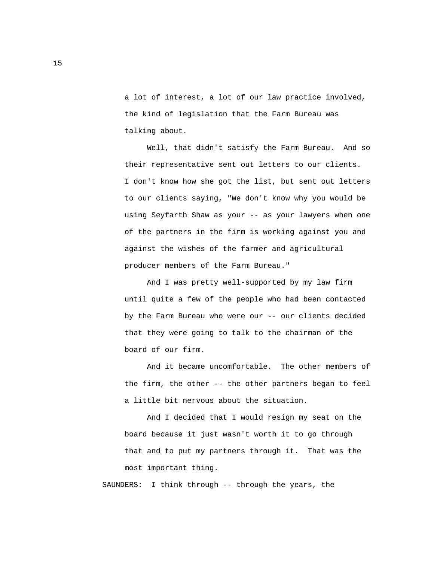a lot of interest, a lot of our law practice involved, the kind of legislation that the Farm Bureau was talking about.

 Well, that didn't satisfy the Farm Bureau. And so their representative sent out letters to our clients. I don't know how she got the list, but sent out letters to our clients saying, "We don't know why you would be using Seyfarth Shaw as your -- as your lawyers when one of the partners in the firm is working against you and against the wishes of the farmer and agricultural producer members of the Farm Bureau."

 And I was pretty well-supported by my law firm until quite a few of the people who had been contacted by the Farm Bureau who were our -- our clients decided that they were going to talk to the chairman of the board of our firm.

 And it became uncomfortable. The other members of the firm, the other -- the other partners began to feel a little bit nervous about the situation.

 And I decided that I would resign my seat on the board because it just wasn't worth it to go through that and to put my partners through it. That was the most important thing.

SAUNDERS: I think through -- through the years, the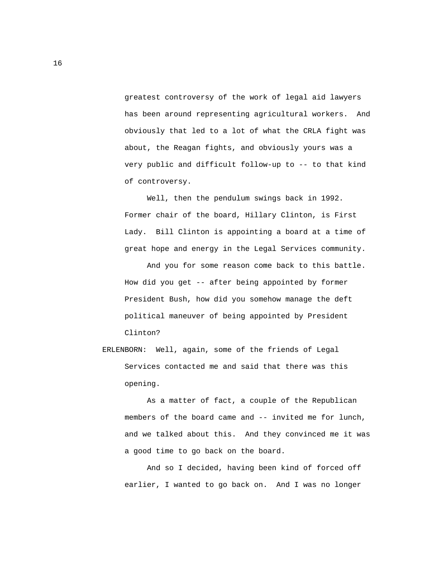greatest controversy of the work of legal aid lawyers has been around representing agricultural workers. And obviously that led to a lot of what the CRLA fight was about, the Reagan fights, and obviously yours was a very public and difficult follow-up to -- to that kind of controversy.

 Well, then the pendulum swings back in 1992. Former chair of the board, Hillary Clinton, is First Lady. Bill Clinton is appointing a board at a time of great hope and energy in the Legal Services community.

 And you for some reason come back to this battle. How did you get -- after being appointed by former President Bush, how did you somehow manage the deft political maneuver of being appointed by President Clinton?

 ERLENBORN: Well, again, some of the friends of Legal Services contacted me and said that there was this opening.

 As a matter of fact, a couple of the Republican members of the board came and -- invited me for lunch, and we talked about this. And they convinced me it was a good time to go back on the board.

 And so I decided, having been kind of forced off earlier, I wanted to go back on. And I was no longer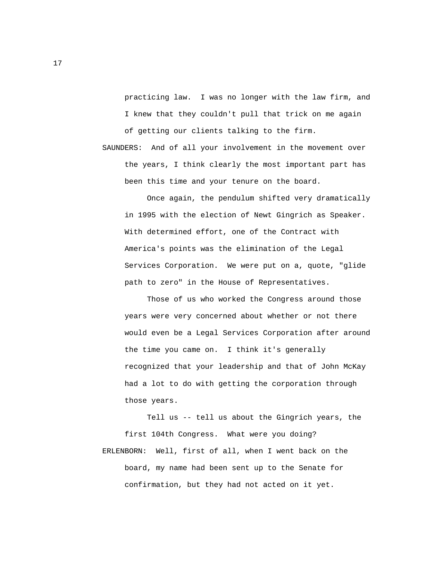practicing law. I was no longer with the law firm, and I knew that they couldn't pull that trick on me again of getting our clients talking to the firm.

 SAUNDERS: And of all your involvement in the movement over the years, I think clearly the most important part has been this time and your tenure on the board.

 Once again, the pendulum shifted very dramatically in 1995 with the election of Newt Gingrich as Speaker. With determined effort, one of the Contract with America's points was the elimination of the Legal Services Corporation. We were put on a, quote, "glide path to zero" in the House of Representatives.

 Those of us who worked the Congress around those years were very concerned about whether or not there would even be a Legal Services Corporation after around the time you came on. I think it's generally recognized that your leadership and that of John McKay had a lot to do with getting the corporation through those years.

 Tell us -- tell us about the Gingrich years, the first 104th Congress. What were you doing? ERLENBORN: Well, first of all, when I went back on the board, my name had been sent up to the Senate for confirmation, but they had not acted on it yet.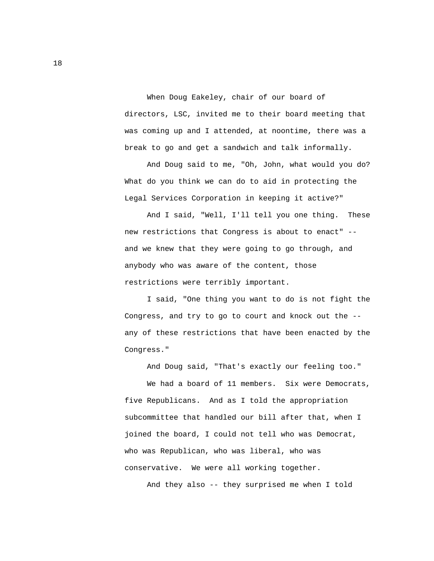When Doug Eakeley, chair of our board of directors, LSC, invited me to their board meeting that was coming up and I attended, at noontime, there was a break to go and get a sandwich and talk informally.

 And Doug said to me, "Oh, John, what would you do? What do you think we can do to aid in protecting the Legal Services Corporation in keeping it active?"

 And I said, "Well, I'll tell you one thing. These new restrictions that Congress is about to enact" - and we knew that they were going to go through, and anybody who was aware of the content, those restrictions were terribly important.

 I said, "One thing you want to do is not fight the Congress, and try to go to court and knock out the - any of these restrictions that have been enacted by the Congress."

And Doug said, "That's exactly our feeling too."

We had a board of 11 members. Six were Democrats, five Republicans. And as I told the appropriation subcommittee that handled our bill after that, when I joined the board, I could not tell who was Democrat, who was Republican, who was liberal, who was conservative. We were all working together.

And they also -- they surprised me when I told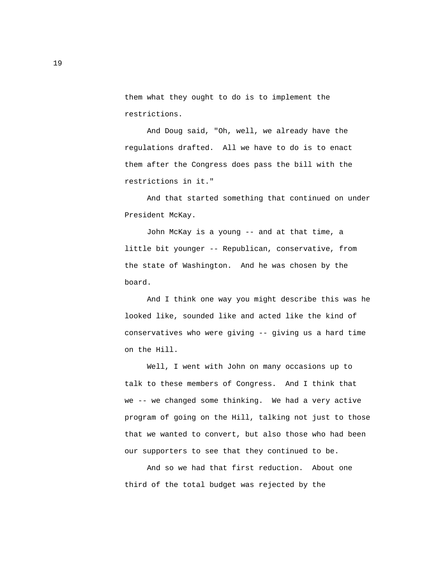them what they ought to do is to implement the restrictions.

 And Doug said, "Oh, well, we already have the regulations drafted. All we have to do is to enact them after the Congress does pass the bill with the restrictions in it."

 And that started something that continued on under President McKay.

 John McKay is a young -- and at that time, a little bit younger -- Republican, conservative, from the state of Washington. And he was chosen by the board.

 And I think one way you might describe this was he looked like, sounded like and acted like the kind of conservatives who were giving -- giving us a hard time on the Hill.

 Well, I went with John on many occasions up to talk to these members of Congress. And I think that we -- we changed some thinking. We had a very active program of going on the Hill, talking not just to those that we wanted to convert, but also those who had been our supporters to see that they continued to be.

 And so we had that first reduction. About one third of the total budget was rejected by the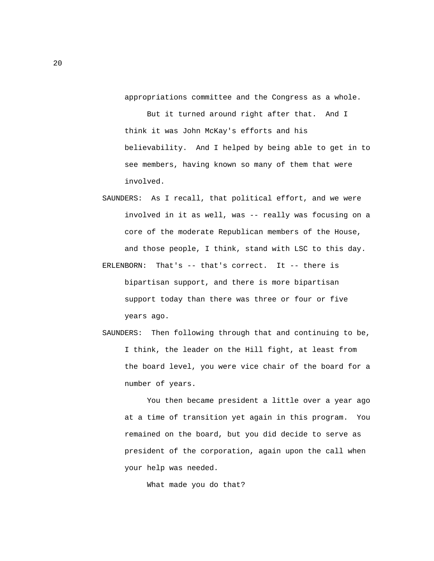appropriations committee and the Congress as a whole.

 But it turned around right after that. And I think it was John McKay's efforts and his believability. And I helped by being able to get in to see members, having known so many of them that were involved.

- SAUNDERS: As I recall, that political effort, and we were involved in it as well, was -- really was focusing on a core of the moderate Republican members of the House, and those people, I think, stand with LSC to this day.
- ERLENBORN: That's -- that's correct. It -- there is bipartisan support, and there is more bipartisan support today than there was three or four or five years ago.
- SAUNDERS: Then following through that and continuing to be, I think, the leader on the Hill fight, at least from the board level, you were vice chair of the board for a number of years.

 You then became president a little over a year ago at a time of transition yet again in this program. You remained on the board, but you did decide to serve as president of the corporation, again upon the call when your help was needed.

What made you do that?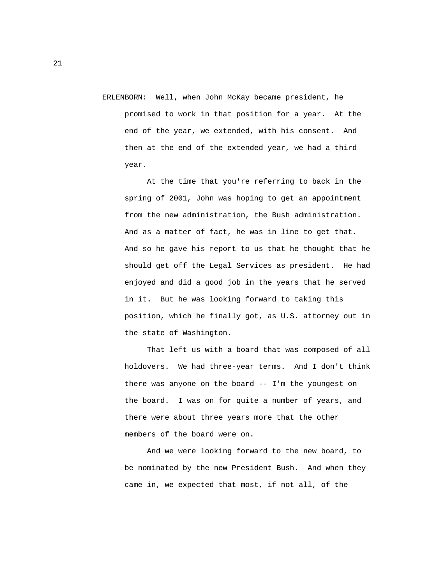ERLENBORN: Well, when John McKay became president, he promised to work in that position for a year. At the end of the year, we extended, with his consent. And then at the end of the extended year, we had a third year.

 At the time that you're referring to back in the spring of 2001, John was hoping to get an appointment from the new administration, the Bush administration. And as a matter of fact, he was in line to get that. And so he gave his report to us that he thought that he should get off the Legal Services as president. He had enjoyed and did a good job in the years that he served in it. But he was looking forward to taking this position, which he finally got, as U.S. attorney out in the state of Washington.

 That left us with a board that was composed of all holdovers. We had three-year terms. And I don't think there was anyone on the board -- I'm the youngest on the board. I was on for quite a number of years, and there were about three years more that the other members of the board were on.

 And we were looking forward to the new board, to be nominated by the new President Bush. And when they came in, we expected that most, if not all, of the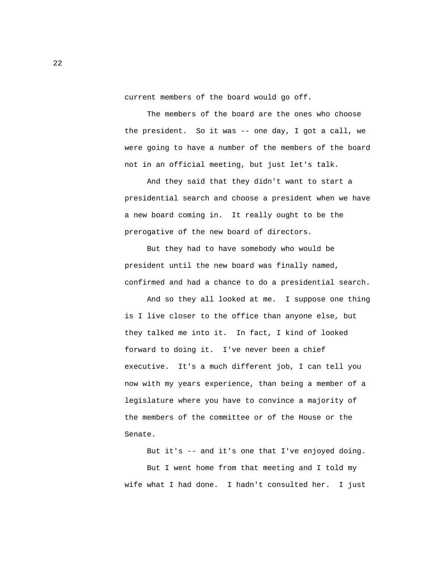current members of the board would go off.

 The members of the board are the ones who choose the president. So it was -- one day, I got a call, we were going to have a number of the members of the board not in an official meeting, but just let's talk.

 And they said that they didn't want to start a presidential search and choose a president when we have a new board coming in. It really ought to be the prerogative of the new board of directors.

 But they had to have somebody who would be president until the new board was finally named, confirmed and had a chance to do a presidential search.

 And so they all looked at me. I suppose one thing is I live closer to the office than anyone else, but they talked me into it. In fact, I kind of looked forward to doing it. I've never been a chief executive. It's a much different job, I can tell you now with my years experience, than being a member of a legislature where you have to convince a majority of the members of the committee or of the House or the Senate.

 But it's -- and it's one that I've enjoyed doing. But I went home from that meeting and I told my wife what I had done. I hadn't consulted her. I just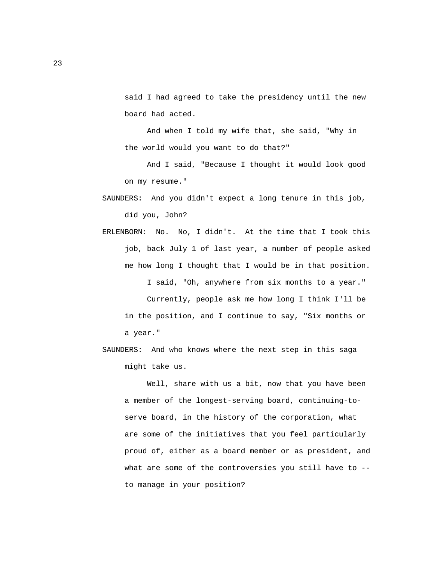said I had agreed to take the presidency until the new board had acted.

 And when I told my wife that, she said, "Why in the world would you want to do that?"

 And I said, "Because I thought it would look good on my resume."

- SAUNDERS: And you didn't expect a long tenure in this job, did you, John?
- ERLENBORN: No. No, I didn't. At the time that I took this job, back July 1 of last year, a number of people asked me how long I thought that I would be in that position. I said, "Oh, anywhere from six months to a year." Currently, people ask me how long I think I'll be in the position, and I continue to say, "Six months or a year."

 SAUNDERS: And who knows where the next step in this saga might take us.

 Well, share with us a bit, now that you have been a member of the longest-serving board, continuing-to serve board, in the history of the corporation, what are some of the initiatives that you feel particularly proud of, either as a board member or as president, and what are some of the controversies you still have to -to manage in your position?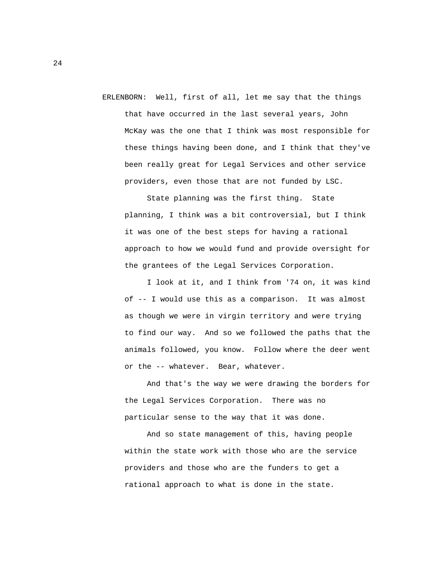ERLENBORN: Well, first of all, let me say that the things that have occurred in the last several years, John McKay was the one that I think was most responsible for these things having been done, and I think that they've been really great for Legal Services and other service providers, even those that are not funded by LSC.

 State planning was the first thing. State planning, I think was a bit controversial, but I think it was one of the best steps for having a rational approach to how we would fund and provide oversight for the grantees of the Legal Services Corporation.

 I look at it, and I think from '74 on, it was kind of -- I would use this as a comparison. It was almost as though we were in virgin territory and were trying to find our way. And so we followed the paths that the animals followed, you know. Follow where the deer went or the -- whatever. Bear, whatever.

 And that's the way we were drawing the borders for the Legal Services Corporation. There was no particular sense to the way that it was done.

 And so state management of this, having people within the state work with those who are the service providers and those who are the funders to get a rational approach to what is done in the state.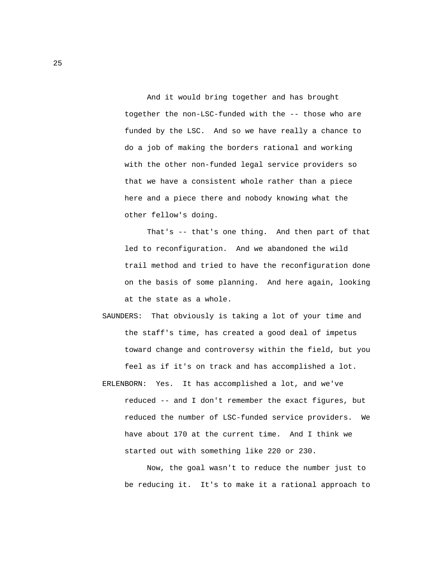And it would bring together and has brought together the non-LSC-funded with the -- those who are funded by the LSC. And so we have really a chance to do a job of making the borders rational and working with the other non-funded legal service providers so that we have a consistent whole rather than a piece here and a piece there and nobody knowing what the other fellow's doing.

 That's -- that's one thing. And then part of that led to reconfiguration. And we abandoned the wild trail method and tried to have the reconfiguration done on the basis of some planning. And here again, looking at the state as a whole.

- SAUNDERS: That obviously is taking a lot of your time and the staff's time, has created a good deal of impetus toward change and controversy within the field, but you feel as if it's on track and has accomplished a lot.
- ERLENBORN: Yes. It has accomplished a lot, and we've reduced -- and I don't remember the exact figures, but reduced the number of LSC-funded service providers. We have about 170 at the current time. And I think we started out with something like 220 or 230.

 Now, the goal wasn't to reduce the number just to be reducing it. It's to make it a rational approach to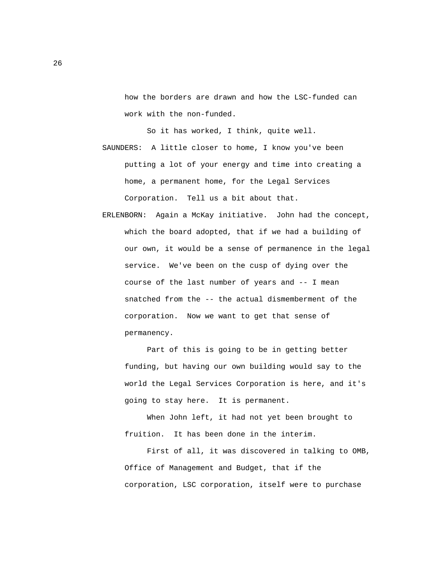how the borders are drawn and how the LSC-funded can work with the non-funded.

 So it has worked, I think, quite well. SAUNDERS: A little closer to home, I know you've been putting a lot of your energy and time into creating a home, a permanent home, for the Legal Services Corporation. Tell us a bit about that.

 ERLENBORN: Again a McKay initiative. John had the concept, which the board adopted, that if we had a building of our own, it would be a sense of permanence in the legal service. We've been on the cusp of dying over the course of the last number of years and -- I mean snatched from the -- the actual dismemberment of the corporation. Now we want to get that sense of permanency.

 Part of this is going to be in getting better funding, but having our own building would say to the world the Legal Services Corporation is here, and it's going to stay here. It is permanent.

 When John left, it had not yet been brought to fruition. It has been done in the interim.

 First of all, it was discovered in talking to OMB, Office of Management and Budget, that if the corporation, LSC corporation, itself were to purchase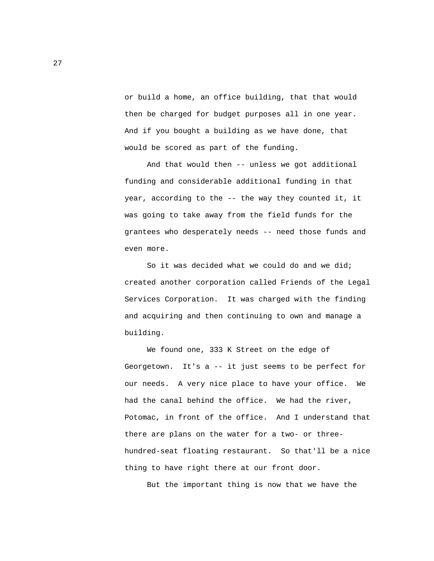or build a home, an office building, that that would then be charged for budget purposes all in one year. And if you bought a building as we have done, that would be scored as part of the funding.

 And that would then -- unless we got additional funding and considerable additional funding in that year, according to the -- the way they counted it, it was going to take away from the field funds for the grantees who desperately needs -- need those funds and even more.

 So it was decided what we could do and we did; created another corporation called Friends of the Legal Services Corporation. It was charged with the finding and acquiring and then continuing to own and manage a building.

 We found one, 333 K Street on the edge of Georgetown. It's a -- it just seems to be perfect for our needs. A very nice place to have your office. We had the canal behind the office. We had the river, Potomac, in front of the office. And I understand that there are plans on the water for a two- or three hundred-seat floating restaurant. So that'll be a nice thing to have right there at our front door.

But the important thing is now that we have the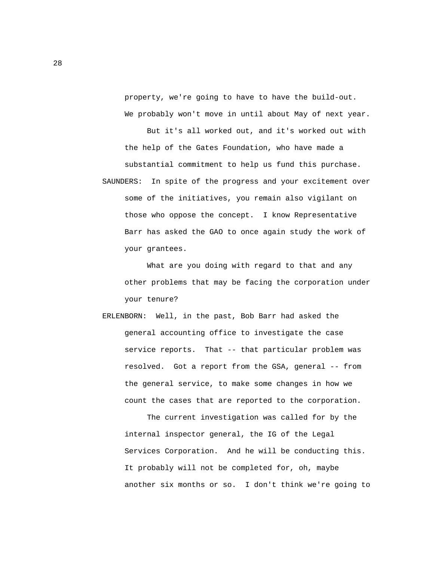property, we're going to have to have the build-out. We probably won't move in until about May of next year.

 But it's all worked out, and it's worked out with the help of the Gates Foundation, who have made a substantial commitment to help us fund this purchase. SAUNDERS: In spite of the progress and your excitement over some of the initiatives, you remain also vigilant on those who oppose the concept. I know Representative Barr has asked the GAO to once again study the work of your grantees.

 What are you doing with regard to that and any other problems that may be facing the corporation under your tenure?

 ERLENBORN: Well, in the past, Bob Barr had asked the general accounting office to investigate the case service reports. That -- that particular problem was resolved. Got a report from the GSA, general -- from the general service, to make some changes in how we count the cases that are reported to the corporation.

 The current investigation was called for by the internal inspector general, the IG of the Legal Services Corporation. And he will be conducting this. It probably will not be completed for, oh, maybe another six months or so. I don't think we're going to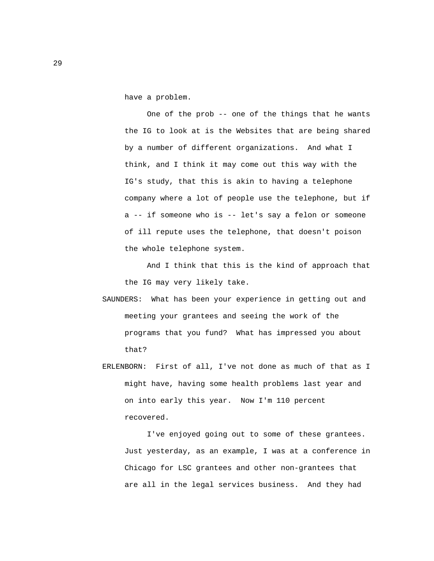have a problem.

 One of the prob -- one of the things that he wants the IG to look at is the Websites that are being shared by a number of different organizations. And what I think, and I think it may come out this way with the IG's study, that this is akin to having a telephone company where a lot of people use the telephone, but if a -- if someone who is -- let's say a felon or someone of ill repute uses the telephone, that doesn't poison the whole telephone system.

 And I think that this is the kind of approach that the IG may very likely take.

- SAUNDERS: What has been your experience in getting out and meeting your grantees and seeing the work of the programs that you fund? What has impressed you about that?
- ERLENBORN: First of all, I've not done as much of that as I might have, having some health problems last year and on into early this year. Now I'm 110 percent recovered.

 I've enjoyed going out to some of these grantees. Just yesterday, as an example, I was at a conference in Chicago for LSC grantees and other non-grantees that are all in the legal services business. And they had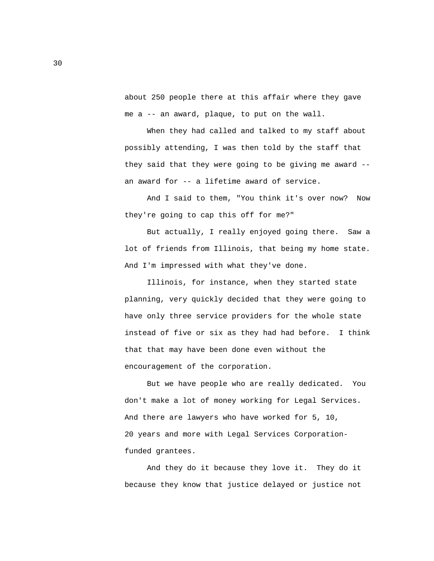about 250 people there at this affair where they gave me a -- an award, plaque, to put on the wall.

 When they had called and talked to my staff about possibly attending, I was then told by the staff that they said that they were going to be giving me award - an award for -- a lifetime award of service.

 And I said to them, "You think it's over now? Now they're going to cap this off for me?"

 But actually, I really enjoyed going there. Saw a lot of friends from Illinois, that being my home state. And I'm impressed with what they've done.

 Illinois, for instance, when they started state planning, very quickly decided that they were going to have only three service providers for the whole state instead of five or six as they had had before. I think that that may have been done even without the encouragement of the corporation.

 But we have people who are really dedicated. You don't make a lot of money working for Legal Services. And there are lawyers who have worked for 5, 10, 20 years and more with Legal Services Corporation funded grantees.

 And they do it because they love it. They do it because they know that justice delayed or justice not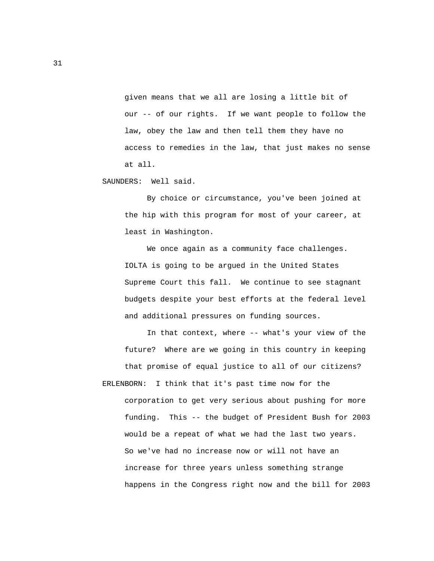given means that we all are losing a little bit of our -- of our rights. If we want people to follow the law, obey the law and then tell them they have no access to remedies in the law, that just makes no sense at all.

SAUNDERS: Well said.

 By choice or circumstance, you've been joined at the hip with this program for most of your career, at least in Washington.

 We once again as a community face challenges. IOLTA is going to be argued in the United States Supreme Court this fall. We continue to see stagnant budgets despite your best efforts at the federal level and additional pressures on funding sources.

 In that context, where -- what's your view of the future? Where are we going in this country in keeping that promise of equal justice to all of our citizens? ERLENBORN: I think that it's past time now for the corporation to get very serious about pushing for more funding. This -- the budget of President Bush for 2003 would be a repeat of what we had the last two years. So we've had no increase now or will not have an increase for three years unless something strange happens in the Congress right now and the bill for 2003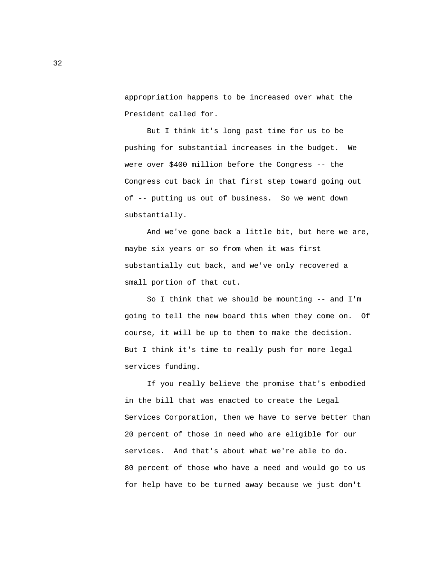appropriation happens to be increased over what the President called for.

 But I think it's long past time for us to be pushing for substantial increases in the budget. We were over \$400 million before the Congress -- the Congress cut back in that first step toward going out of -- putting us out of business. So we went down substantially.

 And we've gone back a little bit, but here we are, maybe six years or so from when it was first substantially cut back, and we've only recovered a small portion of that cut.

 So I think that we should be mounting -- and I'm going to tell the new board this when they come on. Of course, it will be up to them to make the decision. But I think it's time to really push for more legal services funding.

 If you really believe the promise that's embodied in the bill that was enacted to create the Legal Services Corporation, then we have to serve better than 20 percent of those in need who are eligible for our services. And that's about what we're able to do. 80 percent of those who have a need and would go to us for help have to be turned away because we just don't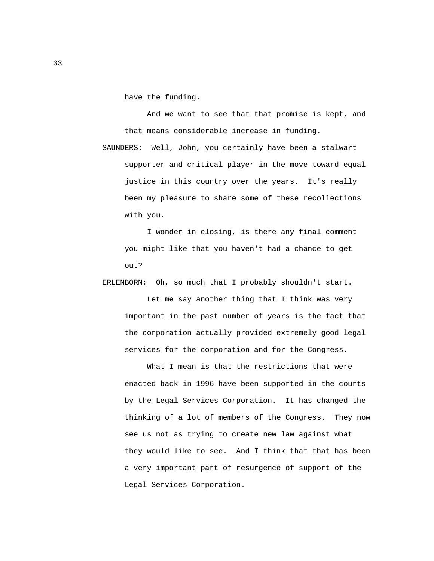have the funding.

 And we want to see that that promise is kept, and that means considerable increase in funding.

 SAUNDERS: Well, John, you certainly have been a stalwart supporter and critical player in the move toward equal justice in this country over the years. It's really been my pleasure to share some of these recollections with you.

 I wonder in closing, is there any final comment you might like that you haven't had a chance to get out?

ERLENBORN: Oh, so much that I probably shouldn't start.

 Let me say another thing that I think was very important in the past number of years is the fact that the corporation actually provided extremely good legal services for the corporation and for the Congress.

 What I mean is that the restrictions that were enacted back in 1996 have been supported in the courts by the Legal Services Corporation. It has changed the thinking of a lot of members of the Congress. They now see us not as trying to create new law against what they would like to see. And I think that that has been a very important part of resurgence of support of the Legal Services Corporation.